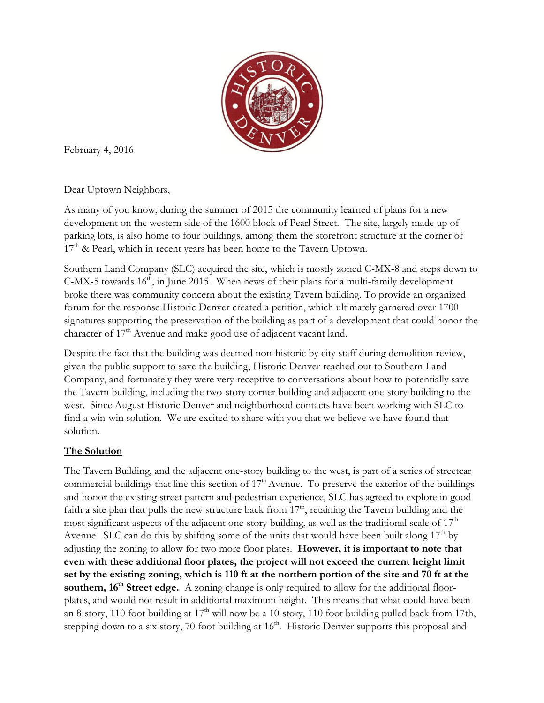

February 4, 2016

Dear Uptown Neighbors,

As many of you know, during the summer of 2015 the community learned of plans for a new development on the western side of the 1600 block of Pearl Street. The site, largely made up of parking lots, is also home to four buildings, among them the storefront structure at the corner of  $17<sup>th</sup>$  & Pearl, which in recent years has been home to the Tavern Uptown.

Southern Land Company (SLC) acquired the site, which is mostly zoned C-MX-8 and steps down to C-MX-5 towards  $16<sup>th</sup>$ , in June 2015. When news of their plans for a multi-family development broke there was community concern about the existing Tavern building. To provide an organized forum for the response Historic Denver created a petition, which ultimately garnered over 1700 signatures supporting the preservation of the building as part of a development that could honor the character of  $17<sup>th</sup>$  Avenue and make good use of adjacent vacant land.

Despite the fact that the building was deemed non-historic by city staff during demolition review, given the public support to save the building, Historic Denver reached out to Southern Land Company, and fortunately they were very receptive to conversations about how to potentially save the Tavern building, including the two-story corner building and adjacent one-story building to the west. Since August Historic Denver and neighborhood contacts have been working with SLC to find a win-win solution. We are excited to share with you that we believe we have found that solution.

## **The Solution**

The Tavern Building, and the adjacent one-story building to the west, is part of a series of streetcar commercial buildings that line this section of  $17<sup>th</sup>$  Avenue. To preserve the exterior of the buildings and honor the existing street pattern and pedestrian experience, SLC has agreed to explore in good faith a site plan that pulls the new structure back from  $17<sup>th</sup>$ , retaining the Tavern building and the most significant aspects of the adjacent one-story building, as well as the traditional scale of 17<sup>th</sup> Avenue. SLC can do this by shifting some of the units that would have been built along  $17<sup>th</sup>$  by adjusting the zoning to allow for two more floor plates. **However, it is important to note that even with these additional floor plates, the project will not exceed the current height limit set by the existing zoning, which is 110 ft at the northern portion of the site and 70 ft at the southern, 16<sup>th</sup> Street edge.** A zoning change is only required to allow for the additional floorplates, and would not result in additional maximum height. This means that what could have been an 8-story, 110 foot building at  $17<sup>th</sup>$  will now be a 10-story, 110 foot building pulled back from 17th, stepping down to a six story, 70 foot building at 16<sup>th</sup>. Historic Denver supports this proposal and